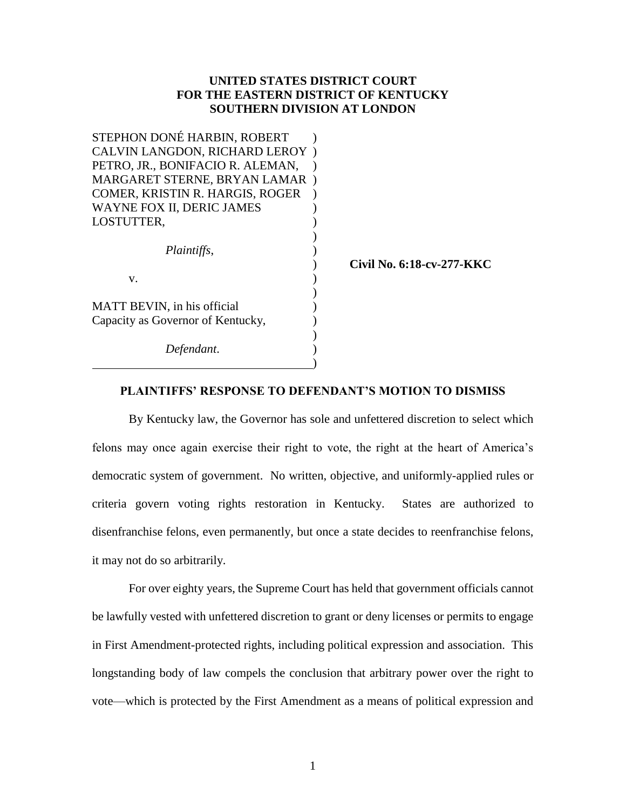### **UNITED STATES DISTRICT COURT FOR THE EASTERN DISTRICT OF KENTUCKY SOUTHERN DIVISION AT LONDON**

| STEPHON DONÉ HARBIN, ROBERT       |                           |
|-----------------------------------|---------------------------|
| CALVIN LANGDON, RICHARD LEROY)    |                           |
| PETRO, JR., BONIFACIO R. ALEMAN,  |                           |
| MARGARET STERNE, BRYAN LAMAR)     |                           |
| COMER, KRISTIN R. HARGIS, ROGER   |                           |
| WAYNE FOX II, DERIC JAMES         |                           |
| LOSTUTTER,                        |                           |
|                                   |                           |
| Plaintiffs,                       |                           |
|                                   | Civil No. 6:18-cv-277-KKC |
| V.                                |                           |
|                                   |                           |
| MATT BEVIN, in his official       |                           |
| Capacity as Governor of Kentucky, |                           |
|                                   |                           |
| Defendant.                        |                           |
|                                   |                           |

#### **PLAINTIFFS' RESPONSE TO DEFENDANT'S MOTION TO DISMISS**

By Kentucky law, the Governor has sole and unfettered discretion to select which felons may once again exercise their right to vote, the right at the heart of America's democratic system of government. No written, objective, and uniformly-applied rules or criteria govern voting rights restoration in Kentucky. States are authorized to disenfranchise felons, even permanently, but once a state decides to reenfranchise felons, it may not do so arbitrarily.

For over eighty years, the Supreme Court has held that government officials cannot be lawfully vested with unfettered discretion to grant or deny licenses or permits to engage in First Amendment-protected rights, including political expression and association. This longstanding body of law compels the conclusion that arbitrary power over the right to vote—which is protected by the First Amendment as a means of political expression and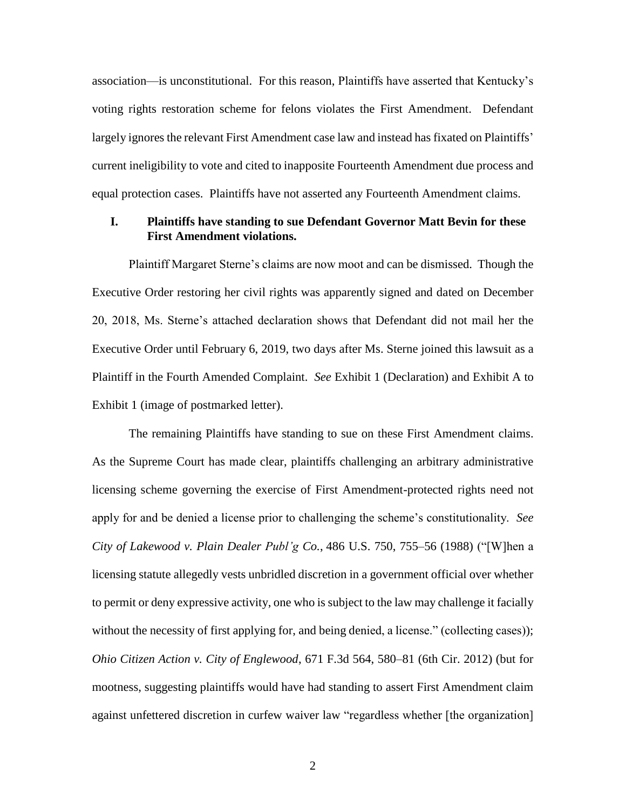association—is unconstitutional. For this reason, Plaintiffs have asserted that Kentucky's voting rights restoration scheme for felons violates the First Amendment. Defendant largely ignores the relevant First Amendment case law and instead has fixated on Plaintiffs' current ineligibility to vote and cited to inapposite Fourteenth Amendment due process and equal protection cases. Plaintiffs have not asserted any Fourteenth Amendment claims.

## **I. Plaintiffs have standing to sue Defendant Governor Matt Bevin for these First Amendment violations.**

Plaintiff Margaret Sterne's claims are now moot and can be dismissed. Though the Executive Order restoring her civil rights was apparently signed and dated on December 20, 2018, Ms. Sterne's attached declaration shows that Defendant did not mail her the Executive Order until February 6, 2019, two days after Ms. Sterne joined this lawsuit as a Plaintiff in the Fourth Amended Complaint. *See* Exhibit 1 (Declaration) and Exhibit A to Exhibit 1 (image of postmarked letter).

The remaining Plaintiffs have standing to sue on these First Amendment claims. As the Supreme Court has made clear, plaintiffs challenging an arbitrary administrative licensing scheme governing the exercise of First Amendment-protected rights need not apply for and be denied a license prior to challenging the scheme's constitutionality. *See City of Lakewood v. Plain Dealer Publ'g Co.*, 486 U.S. 750, 755–56 (1988) ("[W]hen a licensing statute allegedly vests unbridled discretion in a government official over whether to permit or deny expressive activity, one who is subject to the law may challenge it facially without the necessity of first applying for, and being denied, a license." (collecting cases)); *Ohio Citizen Action v. City of Englewood*, 671 F.3d 564, 580–81 (6th Cir. 2012) (but for mootness, suggesting plaintiffs would have had standing to assert First Amendment claim against unfettered discretion in curfew waiver law "regardless whether [the organization]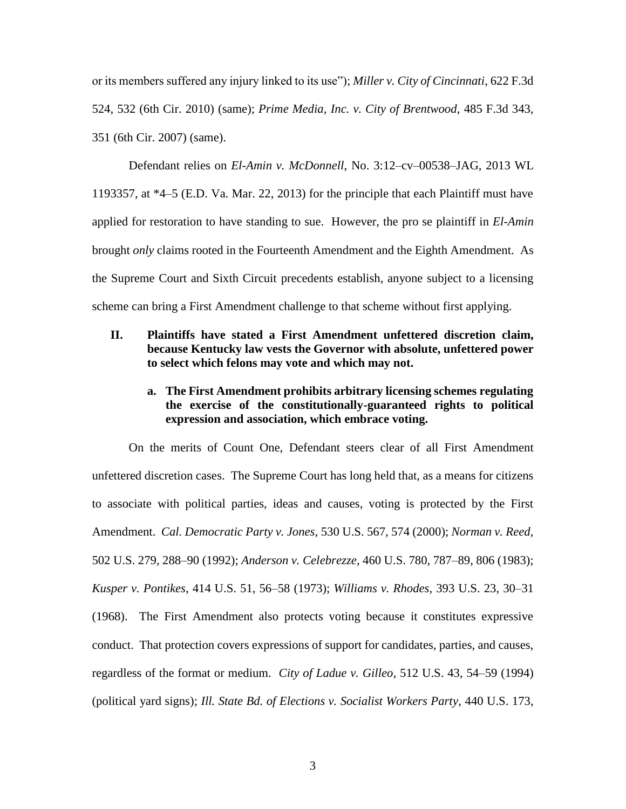or its members suffered any injury linked to its use"); *Miller v. City of Cincinnati*, 622 F.3d 524, 532 (6th Cir. 2010) (same); *Prime Media, Inc. v. City of Brentwood*, 485 F.3d 343, 351 (6th Cir. 2007) (same).

Defendant relies on *El-Amin v. McDonnell*, No. 3:12–cv–00538–JAG, 2013 WL 1193357, at \*4–5 (E.D. Va. Mar. 22, 2013) for the principle that each Plaintiff must have applied for restoration to have standing to sue. However, the pro se plaintiff in *El-Amin* brought *only* claims rooted in the Fourteenth Amendment and the Eighth Amendment. As the Supreme Court and Sixth Circuit precedents establish, anyone subject to a licensing scheme can bring a First Amendment challenge to that scheme without first applying.

# **II. Plaintiffs have stated a First Amendment unfettered discretion claim, because Kentucky law vests the Governor with absolute, unfettered power to select which felons may vote and which may not.**

# **a. The First Amendment prohibits arbitrary licensing schemes regulating the exercise of the constitutionally-guaranteed rights to political expression and association, which embrace voting.**

On the merits of Count One, Defendant steers clear of all First Amendment unfettered discretion cases. The Supreme Court has long held that, as a means for citizens to associate with political parties, ideas and causes, voting is protected by the First Amendment. *Cal. Democratic Party v. Jones*, 530 U.S. 567, 574 (2000); *Norman v. Reed*, 502 U.S. 279, 288–90 (1992); *Anderson v. Celebrezze*, 460 U.S. 780, 787–89, 806 (1983); *Kusper v. Pontikes*, 414 U.S. 51, 56–58 (1973); *Williams v. Rhodes*, 393 U.S. 23, 30–31 (1968). The First Amendment also protects voting because it constitutes expressive conduct. That protection covers expressions of support for candidates, parties, and causes, regardless of the format or medium. *City of Ladue v. Gilleo*, 512 U.S. 43, 54–59 (1994) (political yard signs); *Ill. State Bd. of Elections v. Socialist Workers Party*, 440 U.S. 173,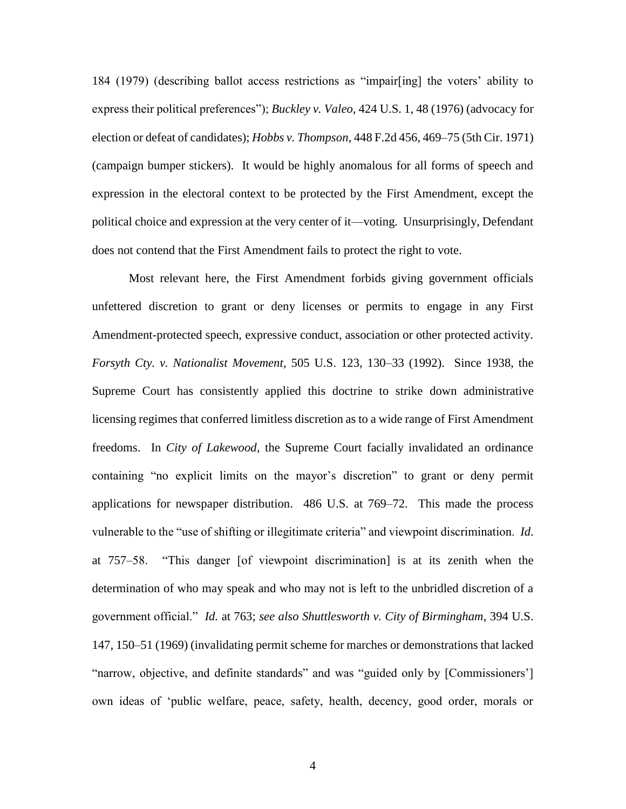184 (1979) (describing ballot access restrictions as "impair[ing] the voters' ability to express their political preferences"); *Buckley v. Valeo*, 424 U.S. 1, 48 (1976) (advocacy for election or defeat of candidates); *Hobbs v. Thompson*, 448 F.2d 456, 469–75 (5th Cir. 1971) (campaign bumper stickers). It would be highly anomalous for all forms of speech and expression in the electoral context to be protected by the First Amendment, except the political choice and expression at the very center of it—voting. Unsurprisingly, Defendant does not contend that the First Amendment fails to protect the right to vote.

Most relevant here, the First Amendment forbids giving government officials unfettered discretion to grant or deny licenses or permits to engage in any First Amendment-protected speech, expressive conduct, association or other protected activity. *Forsyth Cty. v. Nationalist Movement*, 505 U.S. 123, 130–33 (1992). Since 1938, the Supreme Court has consistently applied this doctrine to strike down administrative licensing regimes that conferred limitless discretion as to a wide range of First Amendment freedoms. In *City of Lakewood*, the Supreme Court facially invalidated an ordinance containing "no explicit limits on the mayor's discretion" to grant or deny permit applications for newspaper distribution. 486 U.S. at 769–72. This made the process vulnerable to the "use of shifting or illegitimate criteria" and viewpoint discrimination. *Id*. at 757–58. "This danger [of viewpoint discrimination] is at its zenith when the determination of who may speak and who may not is left to the unbridled discretion of a government official." *Id.* at 763; *see also Shuttlesworth v. City of Birmingham*, 394 U.S. 147, 150–51 (1969) (invalidating permit scheme for marches or demonstrations that lacked "narrow, objective, and definite standards" and was "guided only by [Commissioners'] own ideas of 'public welfare, peace, safety, health, decency, good order, morals or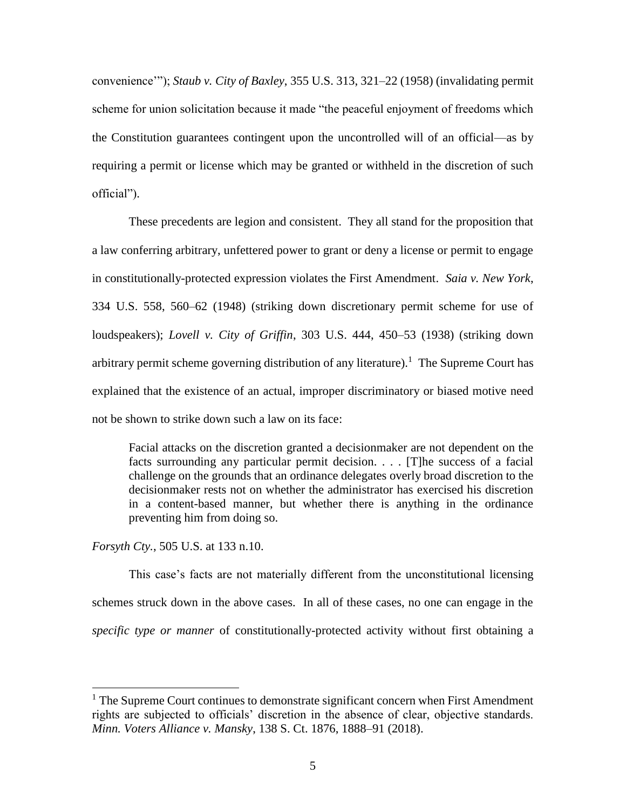convenience'"); *Staub v. City of Baxley*, 355 U.S. 313, 321–22 (1958) (invalidating permit scheme for union solicitation because it made "the peaceful enjoyment of freedoms which the Constitution guarantees contingent upon the uncontrolled will of an official—as by requiring a permit or license which may be granted or withheld in the discretion of such official").

These precedents are legion and consistent. They all stand for the proposition that a law conferring arbitrary, unfettered power to grant or deny a license or permit to engage in constitutionally-protected expression violates the First Amendment. *Saia v. New York*, 334 U.S. 558, 560–62 (1948) (striking down discretionary permit scheme for use of loudspeakers); *Lovell v. City of Griffin*, 303 U.S. 444, 450–53 (1938) (striking down arbitrary permit scheme governing distribution of any literature).<sup>1</sup> The Supreme Court has explained that the existence of an actual, improper discriminatory or biased motive need not be shown to strike down such a law on its face:

Facial attacks on the discretion granted a decisionmaker are not dependent on the facts surrounding any particular permit decision. . . . [T]he success of a facial challenge on the grounds that an ordinance delegates overly broad discretion to the decisionmaker rests not on whether the administrator has exercised his discretion in a content-based manner, but whether there is anything in the ordinance preventing him from doing so.

*Forsyth Cty.*, 505 U.S. at 133 n.10.

l

This case's facts are not materially different from the unconstitutional licensing schemes struck down in the above cases. In all of these cases, no one can engage in the *specific type or manner* of constitutionally-protected activity without first obtaining a

 $<sup>1</sup>$  The Supreme Court continues to demonstrate significant concern when First Amendment</sup> rights are subjected to officials' discretion in the absence of clear, objective standards. *Minn. Voters Alliance v. Mansky*, 138 S. Ct. 1876, 1888–91 (2018).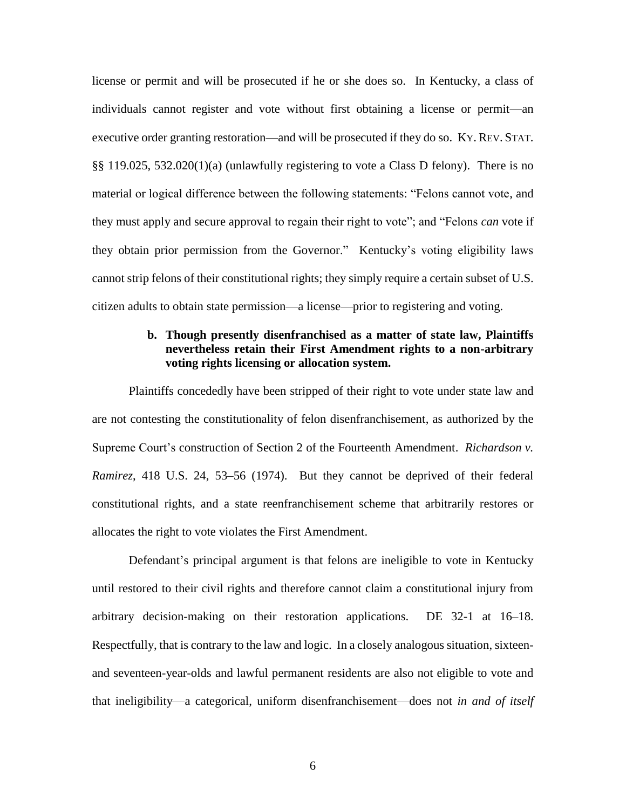license or permit and will be prosecuted if he or she does so. In Kentucky, a class of individuals cannot register and vote without first obtaining a license or permit—an executive order granting restoration—and will be prosecuted if they do so. KY. REV. STAT. §§ 119.025, 532.020(1)(a) (unlawfully registering to vote a Class D felony). There is no material or logical difference between the following statements: "Felons cannot vote, and they must apply and secure approval to regain their right to vote"; and "Felons *can* vote if they obtain prior permission from the Governor." Kentucky's voting eligibility laws cannot strip felons of their constitutional rights; they simply require a certain subset of U.S. citizen adults to obtain state permission—a license—prior to registering and voting.

## **b. Though presently disenfranchised as a matter of state law, Plaintiffs nevertheless retain their First Amendment rights to a non-arbitrary voting rights licensing or allocation system.**

Plaintiffs concededly have been stripped of their right to vote under state law and are not contesting the constitutionality of felon disenfranchisement, as authorized by the Supreme Court's construction of Section 2 of the Fourteenth Amendment. *Richardson v. Ramirez*, 418 U.S. 24, 53–56 (1974). But they cannot be deprived of their federal constitutional rights, and a state reenfranchisement scheme that arbitrarily restores or allocates the right to vote violates the First Amendment.

Defendant's principal argument is that felons are ineligible to vote in Kentucky until restored to their civil rights and therefore cannot claim a constitutional injury from arbitrary decision-making on their restoration applications. DE 32-1 at 16–18. Respectfully, that is contrary to the law and logic. In a closely analogous situation, sixteenand seventeen-year-olds and lawful permanent residents are also not eligible to vote and that ineligibility—a categorical, uniform disenfranchisement—does not *in and of itself*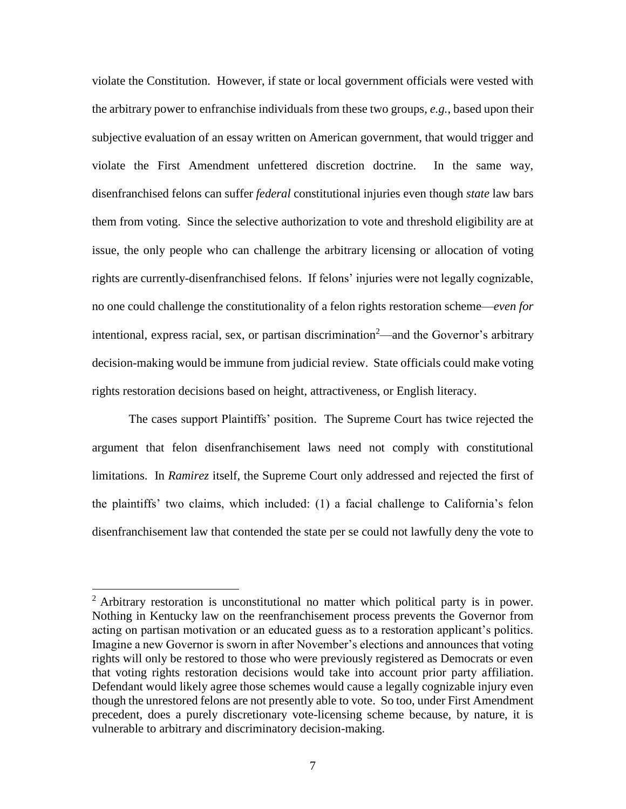violate the Constitution. However, if state or local government officials were vested with the arbitrary power to enfranchise individuals from these two groups, *e.g.*, based upon their subjective evaluation of an essay written on American government, that would trigger and violate the First Amendment unfettered discretion doctrine. In the same way, disenfranchised felons can suffer *federal* constitutional injuries even though *state* law bars them from voting. Since the selective authorization to vote and threshold eligibility are at issue, the only people who can challenge the arbitrary licensing or allocation of voting rights are currently-disenfranchised felons. If felons' injuries were not legally cognizable, no one could challenge the constitutionality of a felon rights restoration scheme—*even for* intentional, express racial, sex, or partisan discrimination<sup>2</sup>—and the Governor's arbitrary decision-making would be immune from judicial review. State officials could make voting rights restoration decisions based on height, attractiveness, or English literacy.

The cases support Plaintiffs' position. The Supreme Court has twice rejected the argument that felon disenfranchisement laws need not comply with constitutional limitations. In *Ramirez* itself, the Supreme Court only addressed and rejected the first of the plaintiffs' two claims, which included: (1) a facial challenge to California's felon disenfranchisement law that contended the state per se could not lawfully deny the vote to

 $2$  Arbitrary restoration is unconstitutional no matter which political party is in power. Nothing in Kentucky law on the reenfranchisement process prevents the Governor from acting on partisan motivation or an educated guess as to a restoration applicant's politics. Imagine a new Governor is sworn in after November's elections and announces that voting rights will only be restored to those who were previously registered as Democrats or even that voting rights restoration decisions would take into account prior party affiliation. Defendant would likely agree those schemes would cause a legally cognizable injury even though the unrestored felons are not presently able to vote. So too, under First Amendment precedent, does a purely discretionary vote-licensing scheme because, by nature, it is vulnerable to arbitrary and discriminatory decision-making.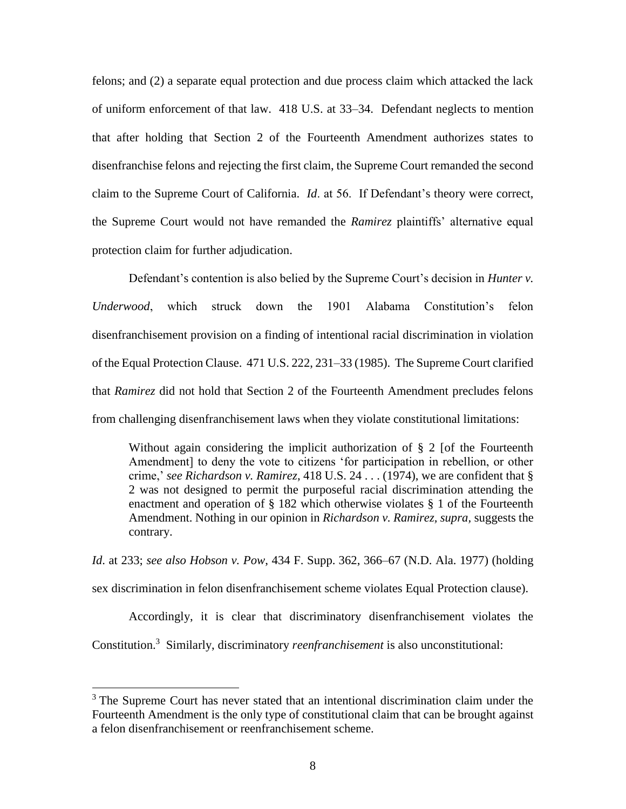felons; and (2) a separate equal protection and due process claim which attacked the lack of uniform enforcement of that law. 418 U.S. at 33–34. Defendant neglects to mention that after holding that Section 2 of the Fourteenth Amendment authorizes states to disenfranchise felons and rejecting the first claim, the Supreme Court remanded the second claim to the Supreme Court of California. *Id*. at 56. If Defendant's theory were correct, the Supreme Court would not have remanded the *Ramirez* plaintiffs' alternative equal protection claim for further adjudication.

Defendant's contention is also belied by the Supreme Court's decision in *Hunter v. Underwood*, which struck down the 1901 Alabama Constitution's felon disenfranchisement provision on a finding of intentional racial discrimination in violation of the Equal Protection Clause. 471 U.S. 222, 231–33 (1985). The Supreme Court clarified that *Ramirez* did not hold that Section 2 of the Fourteenth Amendment precludes felons from challenging disenfranchisement laws when they violate constitutional limitations:

Without again considering the implicit authorization of § 2 [of the Fourteenth Amendment] to deny the vote to citizens 'for participation in rebellion, or other crime,' *see Richardson v. Ramirez*, 418 U.S. 24 . . . (1974), we are confident that § 2 was not designed to permit the purposeful racial discrimination attending the enactment and operation of § 182 which otherwise violates § 1 of the Fourteenth Amendment. Nothing in our opinion in *Richardson v. Ramirez, supra,* suggests the contrary.

*Id*. at 233; *see also Hobson v. Pow*, 434 F. Supp. 362, 366–67 (N.D. Ala. 1977) (holding sex discrimination in felon disenfranchisement scheme violates Equal Protection clause).

Accordingly, it is clear that discriminatory disenfranchisement violates the Constitution. 3 Similarly, discriminatory *reenfranchisement* is also unconstitutional:

l

<sup>&</sup>lt;sup>3</sup> The Supreme Court has never stated that an intentional discrimination claim under the Fourteenth Amendment is the only type of constitutional claim that can be brought against a felon disenfranchisement or reenfranchisement scheme.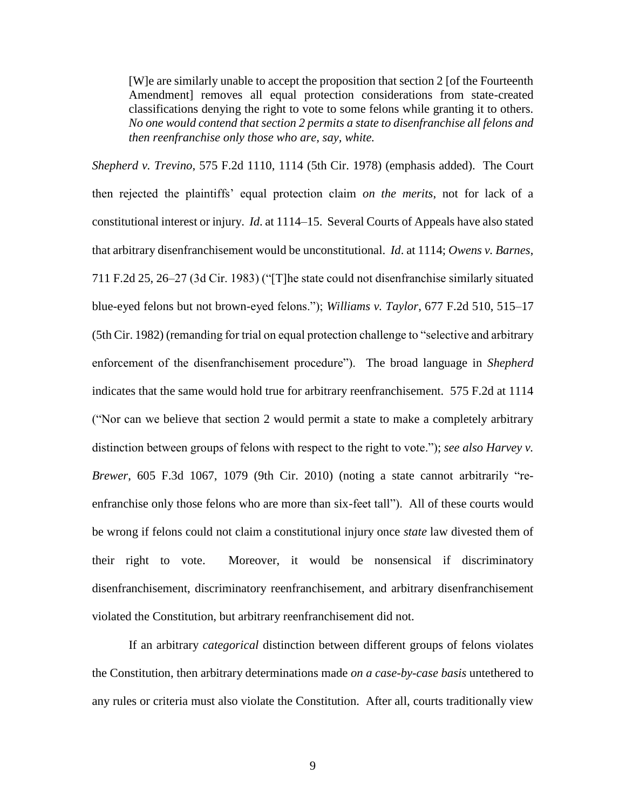[W]e are similarly unable to accept the proposition that section 2 [of the Fourteenth Amendment] removes all equal protection considerations from state-created classifications denying the right to vote to some felons while granting it to others. *No one would contend that section 2 permits a state to disenfranchise all felons and then reenfranchise only those who are, say, white.* 

*Shepherd v. Trevino*, 575 F.2d 1110, 1114 (5th Cir. 1978) (emphasis added). The Court then rejected the plaintiffs' equal protection claim *on the merits*, not for lack of a constitutional interest or injury. *Id*. at 1114–15. Several Courts of Appeals have also stated that arbitrary disenfranchisement would be unconstitutional. *Id*. at 1114; *Owens v. Barnes*, 711 F.2d 25, 26–27 (3d Cir. 1983) ("[T]he state could not disenfranchise similarly situated blue-eyed felons but not brown-eyed felons."); *Williams v. Taylor*, 677 F.2d 510, 515–17 (5th Cir. 1982) (remanding for trial on equal protection challenge to "selective and arbitrary enforcement of the disenfranchisement procedure"). The broad language in *Shepherd*  indicates that the same would hold true for arbitrary reenfranchisement. 575 F.2d at 1114 ("Nor can we believe that section 2 would permit a state to make a completely arbitrary distinction between groups of felons with respect to the right to vote."); *see also Harvey v. Brewer*, 605 F.3d 1067, 1079 (9th Cir. 2010) (noting a state cannot arbitrarily "reenfranchise only those felons who are more than six-feet tall"). All of these courts would be wrong if felons could not claim a constitutional injury once *state* law divested them of their right to vote. Moreover, it would be nonsensical if discriminatory disenfranchisement, discriminatory reenfranchisement, and arbitrary disenfranchisement violated the Constitution, but arbitrary reenfranchisement did not.

If an arbitrary *categorical* distinction between different groups of felons violates the Constitution, then arbitrary determinations made *on a case-by-case basis* untethered to any rules or criteria must also violate the Constitution. After all, courts traditionally view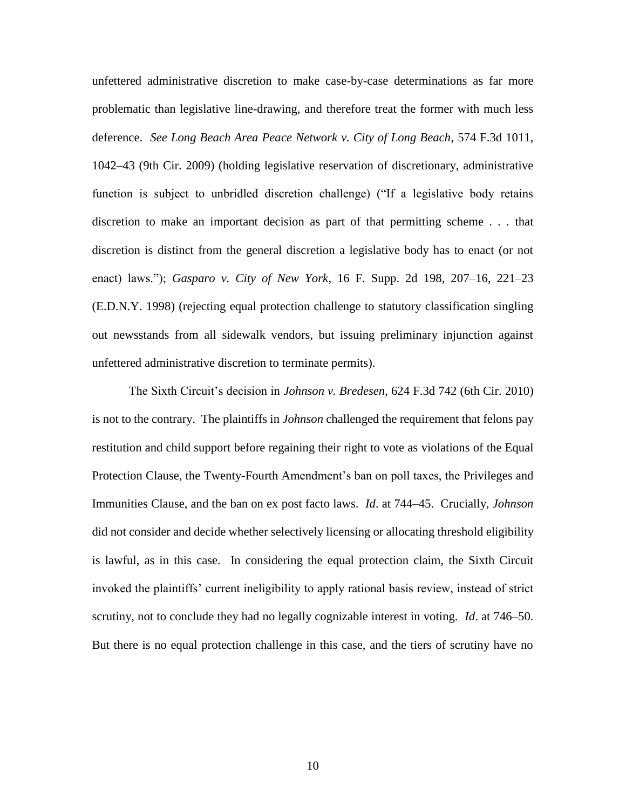unfettered administrative discretion to make case-by-case determinations as far more problematic than legislative line-drawing, and therefore treat the former with much less deference. *See Long Beach Area Peace Network v. City of Long Beach*, 574 F.3d 1011, 1042–43 (9th Cir. 2009) (holding legislative reservation of discretionary, administrative function is subject to unbridled discretion challenge) ("If a legislative body retains discretion to make an important decision as part of that permitting scheme . . . that discretion is distinct from the general discretion a legislative body has to enact (or not enact) laws."); *Gasparo v. City of New York*, 16 F. Supp. 2d 198, 207–16, 221–23 (E.D.N.Y. 1998) (rejecting equal protection challenge to statutory classification singling out newsstands from all sidewalk vendors, but issuing preliminary injunction against unfettered administrative discretion to terminate permits).

The Sixth Circuit's decision in *Johnson v. Bredesen*, 624 F.3d 742 (6th Cir. 2010) is not to the contrary. The plaintiffs in *Johnson* challenged the requirement that felons pay restitution and child support before regaining their right to vote as violations of the Equal Protection Clause, the Twenty-Fourth Amendment's ban on poll taxes, the Privileges and Immunities Clause, and the ban on ex post facto laws. *Id*. at 744–45. Crucially, *Johnson*  did not consider and decide whether selectively licensing or allocating threshold eligibility is lawful, as in this case. In considering the equal protection claim, the Sixth Circuit invoked the plaintiffs' current ineligibility to apply rational basis review, instead of strict scrutiny, not to conclude they had no legally cognizable interest in voting. *Id*. at 746–50. But there is no equal protection challenge in this case, and the tiers of scrutiny have no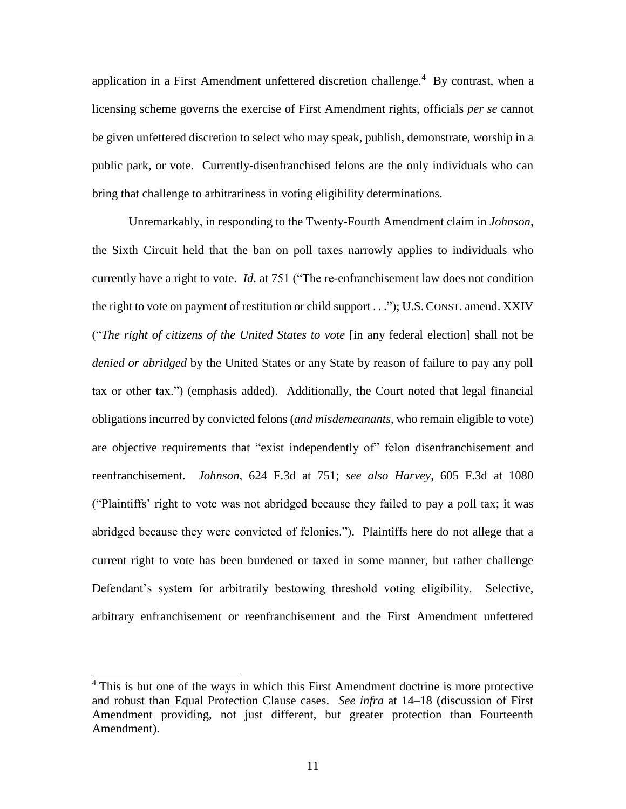application in a First Amendment unfettered discretion challenge. $4$  By contrast, when a licensing scheme governs the exercise of First Amendment rights, officials *per se* cannot be given unfettered discretion to select who may speak, publish, demonstrate, worship in a public park, or vote. Currently-disenfranchised felons are the only individuals who can bring that challenge to arbitrariness in voting eligibility determinations.

Unremarkably, in responding to the Twenty-Fourth Amendment claim in *Johnson*, the Sixth Circuit held that the ban on poll taxes narrowly applies to individuals who currently have a right to vote. *Id*. at 751 ("The re-enfranchisement law does not condition the right to vote on payment of restitution or child support . . ."); U.S.CONST. amend. XXIV ("*The right of citizens of the United States to vote* [in any federal election] shall not be *denied or abridged* by the United States or any State by reason of failure to pay any poll tax or other tax.") (emphasis added). Additionally, the Court noted that legal financial obligations incurred by convicted felons (*and misdemeanants*, who remain eligible to vote) are objective requirements that "exist independently of" felon disenfranchisement and reenfranchisement. *Johnson*, 624 F.3d at 751; *see also Harvey*, 605 F.3d at 1080 ("Plaintiffs' right to vote was not abridged because they failed to pay a poll tax; it was abridged because they were convicted of felonies."). Plaintiffs here do not allege that a current right to vote has been burdened or taxed in some manner, but rather challenge Defendant's system for arbitrarily bestowing threshold voting eligibility. Selective, arbitrary enfranchisement or reenfranchisement and the First Amendment unfettered

<sup>&</sup>lt;sup>4</sup> This is but one of the ways in which this First Amendment doctrine is more protective and robust than Equal Protection Clause cases. *See infra* at 14–18 (discussion of First Amendment providing, not just different, but greater protection than Fourteenth Amendment).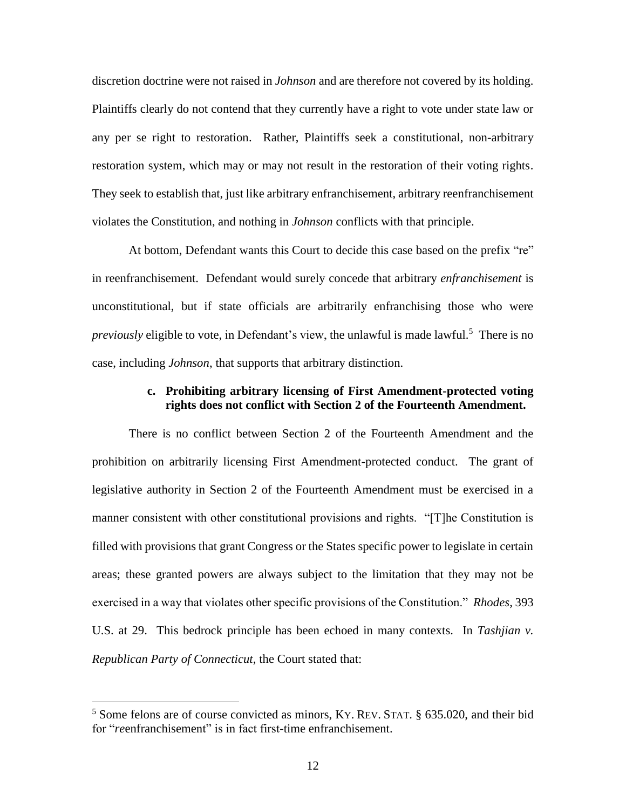discretion doctrine were not raised in *Johnson* and are therefore not covered by its holding. Plaintiffs clearly do not contend that they currently have a right to vote under state law or any per se right to restoration. Rather, Plaintiffs seek a constitutional, non-arbitrary restoration system, which may or may not result in the restoration of their voting rights. They seek to establish that, just like arbitrary enfranchisement, arbitrary reenfranchisement violates the Constitution, and nothing in *Johnson* conflicts with that principle.

At bottom, Defendant wants this Court to decide this case based on the prefix "re" in reenfranchisement. Defendant would surely concede that arbitrary *enfranchisement* is unconstitutional, but if state officials are arbitrarily enfranchising those who were previously eligible to vote, in Defendant's view, the unlawful is made lawful.<sup>5</sup> There is no case, including *Johnson*, that supports that arbitrary distinction.

### **c. Prohibiting arbitrary licensing of First Amendment-protected voting rights does not conflict with Section 2 of the Fourteenth Amendment.**

There is no conflict between Section 2 of the Fourteenth Amendment and the prohibition on arbitrarily licensing First Amendment-protected conduct. The grant of legislative authority in Section 2 of the Fourteenth Amendment must be exercised in a manner consistent with other constitutional provisions and rights. "[T]he Constitution is filled with provisions that grant Congress or the States specific power to legislate in certain areas; these granted powers are always subject to the limitation that they may not be exercised in a way that violates other specific provisions of the Constitution." *Rhodes*, 393 U.S. at 29. This bedrock principle has been echoed in many contexts. In *Tashjian v. Republican Party of Connecticut*, the Court stated that:

<sup>5</sup> Some felons are of course convicted as minors, KY. REV. STAT. § 635.020, and their bid for "*re*enfranchisement" is in fact first-time enfranchisement.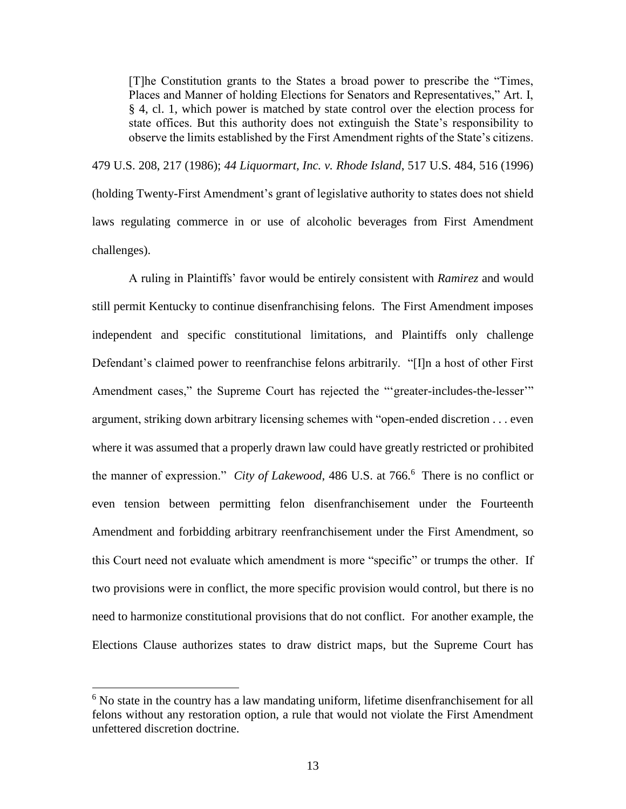[T]he Constitution grants to the States a broad power to prescribe the "Times, Places and Manner of holding Elections for Senators and Representatives," Art. I, § 4, cl. 1, which power is matched by state control over the election process for state offices. But this authority does not extinguish the State's responsibility to observe the limits established by the First Amendment rights of the State's citizens.

479 U.S. 208, 217 (1986); *44 Liquormart, Inc. v. Rhode Island*, 517 U.S. 484, 516 (1996) (holding Twenty-First Amendment's grant of legislative authority to states does not shield laws regulating commerce in or use of alcoholic beverages from First Amendment challenges).

A ruling in Plaintiffs' favor would be entirely consistent with *Ramirez* and would still permit Kentucky to continue disenfranchising felons. The First Amendment imposes independent and specific constitutional limitations, and Plaintiffs only challenge Defendant's claimed power to reenfranchise felons arbitrarily. "[I]n a host of other First Amendment cases," the Supreme Court has rejected the "'greater-includes-the-lesser'" argument, striking down arbitrary licensing schemes with "open-ended discretion . . . even where it was assumed that a properly drawn law could have greatly restricted or prohibited the manner of expression." *City of Lakewood*, 486 U.S. at 766.<sup>6</sup> There is no conflict or even tension between permitting felon disenfranchisement under the Fourteenth Amendment and forbidding arbitrary reenfranchisement under the First Amendment, so this Court need not evaluate which amendment is more "specific" or trumps the other. If two provisions were in conflict, the more specific provision would control, but there is no need to harmonize constitutional provisions that do not conflict. For another example, the Elections Clause authorizes states to draw district maps, but the Supreme Court has

l

 $6$  No state in the country has a law mandating uniform, lifetime disenfranchisement for all felons without any restoration option, a rule that would not violate the First Amendment unfettered discretion doctrine.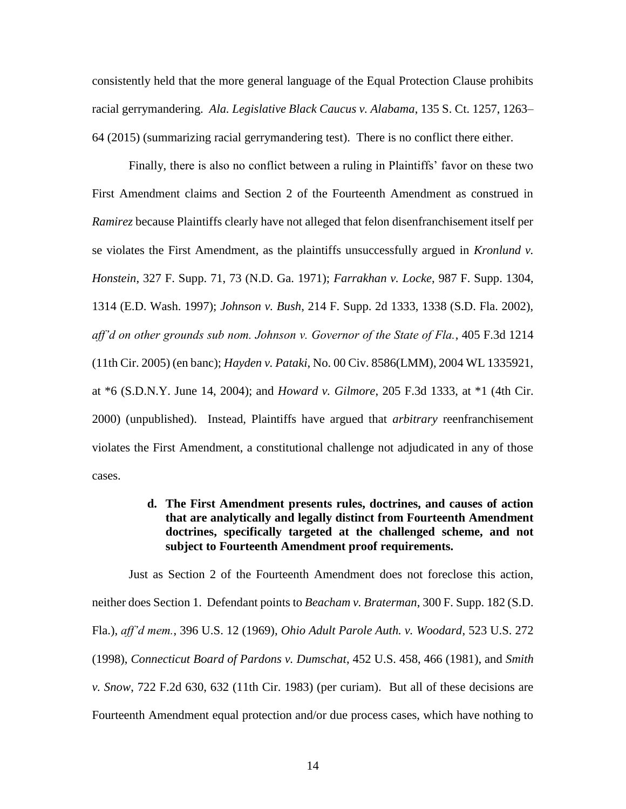consistently held that the more general language of the Equal Protection Clause prohibits racial gerrymandering. *Ala. Legislative Black Caucus v. Alabama*, 135 S. Ct. 1257, 1263– 64 (2015) (summarizing racial gerrymandering test). There is no conflict there either.

Finally, there is also no conflict between a ruling in Plaintiffs' favor on these two First Amendment claims and Section 2 of the Fourteenth Amendment as construed in *Ramirez* because Plaintiffs clearly have not alleged that felon disenfranchisement itself per se violates the First Amendment, as the plaintiffs unsuccessfully argued in *Kronlund v. Honstein*, 327 F. Supp. 71, 73 (N.D. Ga. 1971); *Farrakhan v. Locke*, 987 F. Supp. 1304, 1314 (E.D. Wash. 1997); *Johnson v. Bush*, 214 F. Supp. 2d 1333, 1338 (S.D. Fla. 2002), *aff'd on other grounds sub nom. Johnson v. Governor of the State of Fla.*, 405 F.3d 1214 (11th Cir. 2005) (en banc); *Hayden v. Pataki*, No. 00 Civ. 8586(LMM), 2004 WL 1335921, at \*6 (S.D.N.Y. June 14, 2004); and *Howard v. Gilmore*, 205 F.3d 1333, at \*1 (4th Cir. 2000) (unpublished). Instead, Plaintiffs have argued that *arbitrary* reenfranchisement violates the First Amendment, a constitutional challenge not adjudicated in any of those cases.

### **d. The First Amendment presents rules, doctrines, and causes of action that are analytically and legally distinct from Fourteenth Amendment doctrines, specifically targeted at the challenged scheme, and not subject to Fourteenth Amendment proof requirements.**

Just as Section 2 of the Fourteenth Amendment does not foreclose this action, neither does Section 1. Defendant points to *Beacham v. Braterman*, 300 F. Supp. 182 (S.D. Fla.), *aff'd mem.*, 396 U.S. 12 (1969), *Ohio Adult Parole Auth. v. Woodard*, 523 U.S. 272 (1998), *Connecticut Board of Pardons v. Dumschat*, 452 U.S. 458, 466 (1981), and *Smith v. Snow*, 722 F.2d 630, 632 (11th Cir. 1983) (per curiam). But all of these decisions are Fourteenth Amendment equal protection and/or due process cases, which have nothing to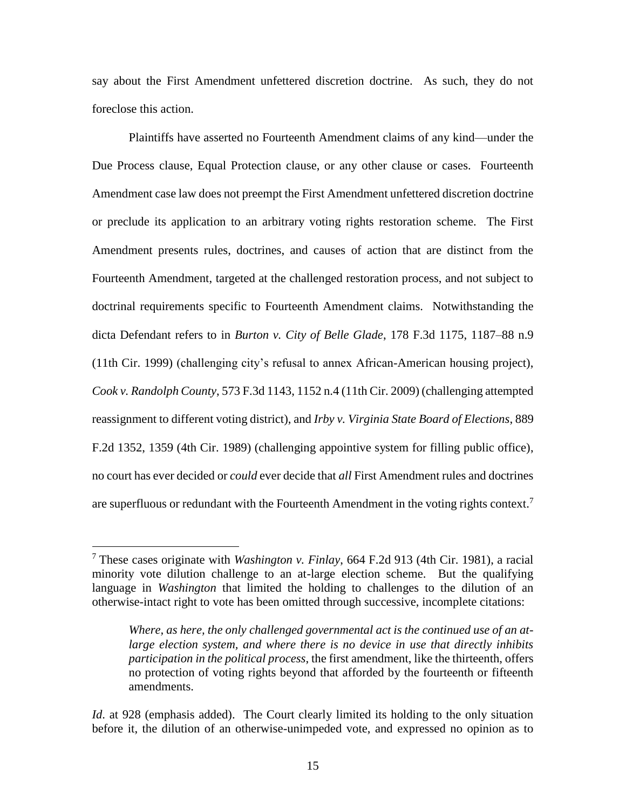say about the First Amendment unfettered discretion doctrine. As such, they do not foreclose this action.

Plaintiffs have asserted no Fourteenth Amendment claims of any kind—under the Due Process clause, Equal Protection clause, or any other clause or cases. Fourteenth Amendment case law does not preempt the First Amendment unfettered discretion doctrine or preclude its application to an arbitrary voting rights restoration scheme. The First Amendment presents rules, doctrines, and causes of action that are distinct from the Fourteenth Amendment, targeted at the challenged restoration process, and not subject to doctrinal requirements specific to Fourteenth Amendment claims. Notwithstanding the dicta Defendant refers to in *Burton v. City of Belle Glade*, 178 F.3d 1175, 1187–88 n.9 (11th Cir. 1999) (challenging city's refusal to annex African-American housing project), *Cook v. Randolph County*, 573 F.3d 1143, 1152 n.4 (11th Cir. 2009) (challenging attempted reassignment to different voting district), and *Irby v. Virginia State Board of Elections*, 889 F.2d 1352, 1359 (4th Cir. 1989) (challenging appointive system for filling public office), no court has ever decided or *could* ever decide that *all* First Amendment rules and doctrines are superfluous or redundant with the Fourteenth Amendment in the voting rights context.<sup>7</sup>

l

<sup>7</sup> These cases originate with *Washington v. Finlay*, 664 F.2d 913 (4th Cir. 1981), a racial minority vote dilution challenge to an at-large election scheme. But the qualifying language in *Washington* that limited the holding to challenges to the dilution of an otherwise-intact right to vote has been omitted through successive, incomplete citations:

*Where, as here, the only challenged governmental act is the continued use of an atlarge election system, and where there is no device in use that directly inhibits participation in the political process*, the first amendment, like the thirteenth, offers no protection of voting rights beyond that afforded by the fourteenth or fifteenth amendments.

*Id.* at 928 (emphasis added). The Court clearly limited its holding to the only situation before it, the dilution of an otherwise-unimpeded vote, and expressed no opinion as to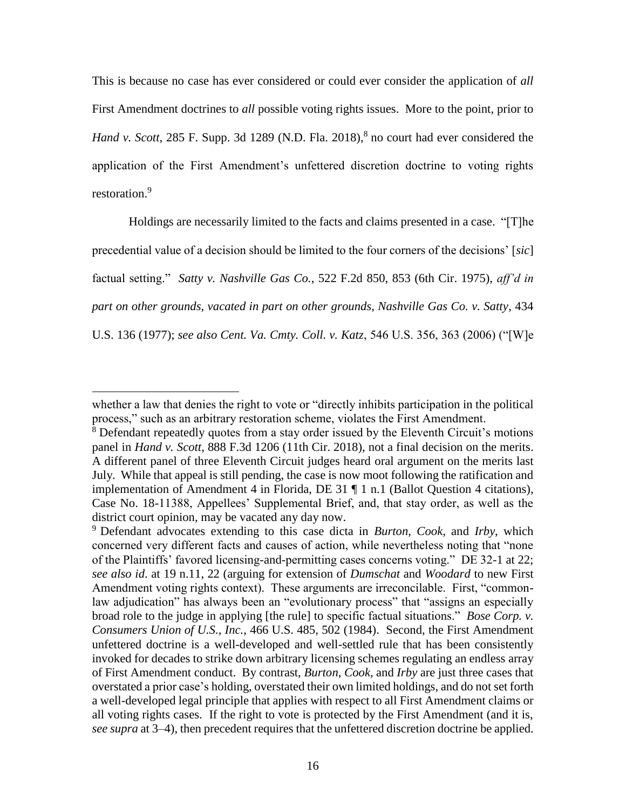This is because no case has ever considered or could ever consider the application of *all* First Amendment doctrines to *all* possible voting rights issues. More to the point, prior to Hand v. Scott, 285 F. Supp. 3d 1289 (N.D. Fla. 2018),<sup>8</sup> no court had ever considered the application of the First Amendment's unfettered discretion doctrine to voting rights restoration.<sup>9</sup>

Holdings are necessarily limited to the facts and claims presented in a case. "[T]he precedential value of a decision should be limited to the four corners of the decisions' [*sic*] factual setting." *Satty v. Nashville Gas Co.*, 522 F.2d 850, 853 (6th Cir. 1975), *aff'd in part on other grounds, vacated in part on other grounds, Nashville Gas Co. v. Satty*, 434 U.S. 136 (1977); *see also Cent. Va. Cmty. Coll. v. Katz*, 546 U.S. 356, 363 (2006) ("[W]e

l

whether a law that denies the right to vote or "directly inhibits participation in the political process," such as an arbitrary restoration scheme, violates the First Amendment.

<sup>&</sup>lt;sup>8</sup> Defendant repeatedly quotes from a stay order issued by the Eleventh Circuit's motions panel in *Hand v. Scott*, 888 F.3d 1206 (11th Cir. 2018), not a final decision on the merits. A different panel of three Eleventh Circuit judges heard oral argument on the merits last July. While that appeal is still pending, the case is now moot following the ratification and implementation of Amendment 4 in Florida, DE 31 ¶ 1 n.1 (Ballot Question 4 citations), Case No. 18-11388, Appellees' Supplemental Brief, and, that stay order, as well as the district court opinion, may be vacated any day now.

<sup>9</sup> Defendant advocates extending to this case dicta in *Burton*, *Cook*, and *Irby*, which concerned very different facts and causes of action, while nevertheless noting that "none of the Plaintiffs' favored licensing-and-permitting cases concerns voting." DE 32-1 at 22; *see also id*. at 19 n.11, 22 (arguing for extension of *Dumschat* and *Woodard* to new First Amendment voting rights context). These arguments are irreconcilable. First, "commonlaw adjudication" has always been an "evolutionary process" that "assigns an especially broad role to the judge in applying [the rule] to specific factual situations." *Bose Corp. v. Consumers Union of U.S., Inc.*, 466 U.S. 485, 502 (1984). Second, the First Amendment unfettered doctrine is a well-developed and well-settled rule that has been consistently invoked for decades to strike down arbitrary licensing schemes regulating an endless array of First Amendment conduct. By contrast, *Burton*, *Cook*, and *Irby* are just three cases that overstated a prior case's holding, overstated their own limited holdings, and do not set forth a well-developed legal principle that applies with respect to all First Amendment claims or all voting rights cases. If the right to vote is protected by the First Amendment (and it is, *see supra* at 3–4), then precedent requires that the unfettered discretion doctrine be applied.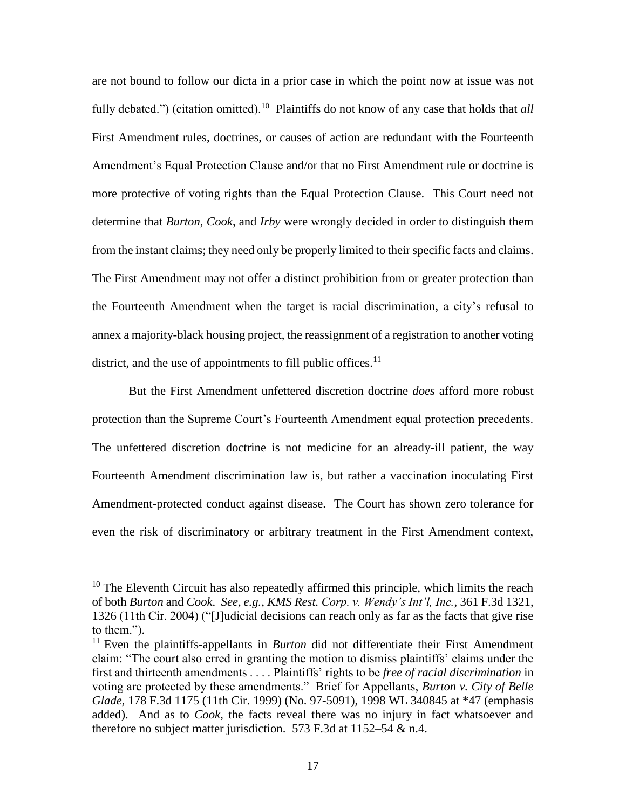are not bound to follow our dicta in a prior case in which the point now at issue was not fully debated.") (citation omitted).<sup>10</sup> Plaintiffs do not know of any case that holds that *all* First Amendment rules, doctrines, or causes of action are redundant with the Fourteenth Amendment's Equal Protection Clause and/or that no First Amendment rule or doctrine is more protective of voting rights than the Equal Protection Clause. This Court need not determine that *Burton*, *Cook*, and *Irby* were wrongly decided in order to distinguish them from the instant claims; they need only be properly limited to their specific facts and claims. The First Amendment may not offer a distinct prohibition from or greater protection than the Fourteenth Amendment when the target is racial discrimination, a city's refusal to annex a majority-black housing project, the reassignment of a registration to another voting district, and the use of appointments to fill public offices.<sup>11</sup>

But the First Amendment unfettered discretion doctrine *does* afford more robust protection than the Supreme Court's Fourteenth Amendment equal protection precedents. The unfettered discretion doctrine is not medicine for an already-ill patient, the way Fourteenth Amendment discrimination law is, but rather a vaccination inoculating First Amendment-protected conduct against disease. The Court has shown zero tolerance for even the risk of discriminatory or arbitrary treatment in the First Amendment context,

<sup>&</sup>lt;sup>10</sup> The Eleventh Circuit has also repeatedly affirmed this principle, which limits the reach of both *Burton* and *Cook*. *See, e.g.*, *KMS Rest. Corp. v. Wendy's Int'l, Inc.*, 361 F.3d 1321, 1326 (11th Cir. 2004) ("[J]udicial decisions can reach only as far as the facts that give rise to them.").

<sup>&</sup>lt;sup>11</sup> Even the plaintiffs-appellants in *Burton* did not differentiate their First Amendment claim: "The court also erred in granting the motion to dismiss plaintiffs' claims under the first and thirteenth amendments . . . . Plaintiffs' rights to be *free of racial discrimination* in voting are protected by these amendments." Brief for Appellants, *Burton v. City of Belle Glade*, 178 F.3d 1175 (11th Cir. 1999) (No. 97-5091), 1998 WL 340845 at \*47 (emphasis added). And as to *Cook*, the facts reveal there was no injury in fact whatsoever and therefore no subject matter jurisdiction. 573 F.3d at 1152–54 & n.4.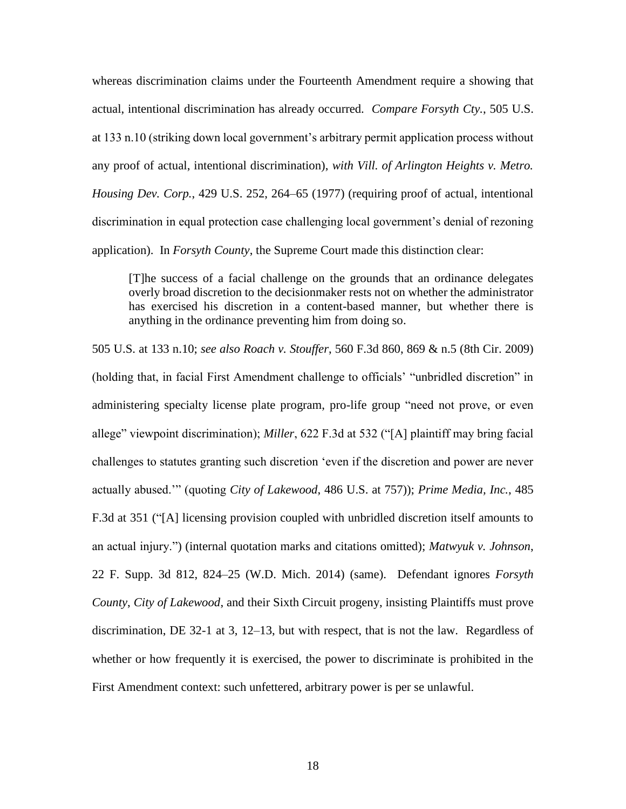whereas discrimination claims under the Fourteenth Amendment require a showing that actual, intentional discrimination has already occurred. *Compare Forsyth Cty.*, 505 U.S. at 133 n.10 (striking down local government's arbitrary permit application process without any proof of actual, intentional discrimination), *with Vill. of Arlington Heights v. Metro. Housing Dev. Corp.*, 429 U.S. 252, 264–65 (1977) (requiring proof of actual, intentional discrimination in equal protection case challenging local government's denial of rezoning application). In *Forsyth County*, the Supreme Court made this distinction clear:

[T]he success of a facial challenge on the grounds that an ordinance delegates overly broad discretion to the decisionmaker rests not on whether the administrator has exercised his discretion in a content-based manner, but whether there is anything in the ordinance preventing him from doing so.

505 U.S. at 133 n.10; *see also Roach v. Stouffer*, 560 F.3d 860, 869 & n.5 (8th Cir. 2009) (holding that, in facial First Amendment challenge to officials' "unbridled discretion" in administering specialty license plate program, pro-life group "need not prove, or even allege" viewpoint discrimination); *Miller*, 622 F.3d at 532 ("[A] plaintiff may bring facial challenges to statutes granting such discretion 'even if the discretion and power are never actually abused.'" (quoting *City of Lakewood*, 486 U.S. at 757)); *Prime Media, Inc.*, 485 F.3d at 351 ("[A] licensing provision coupled with unbridled discretion itself amounts to an actual injury.") (internal quotation marks and citations omitted); *Matwyuk v. Johnson*, 22 F. Supp. 3d 812, 824–25 (W.D. Mich. 2014) (same). Defendant ignores *Forsyth County*, *City of Lakewood*, and their Sixth Circuit progeny, insisting Plaintiffs must prove discrimination, DE 32-1 at 3, 12–13, but with respect, that is not the law. Regardless of whether or how frequently it is exercised, the power to discriminate is prohibited in the First Amendment context: such unfettered, arbitrary power is per se unlawful.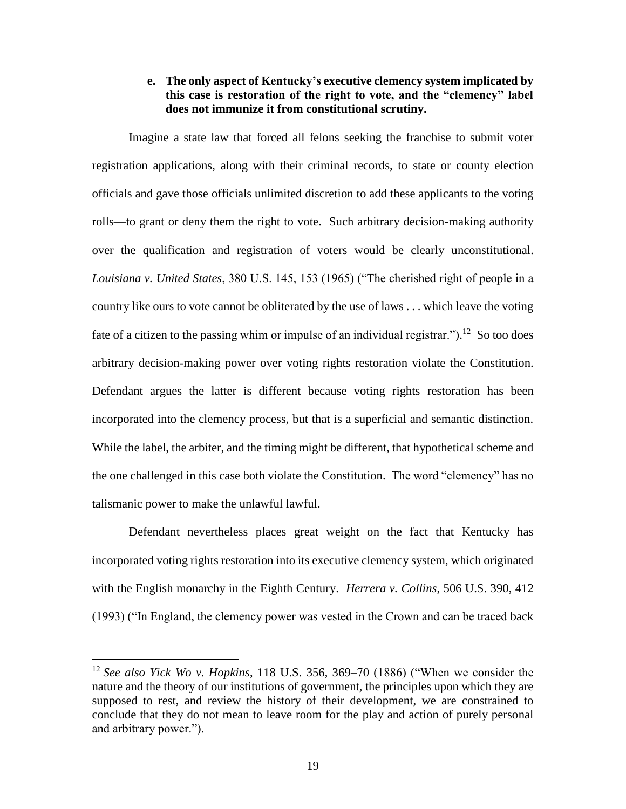## **e. The only aspect of Kentucky's executive clemency system implicated by this case is restoration of the right to vote, and the "clemency" label does not immunize it from constitutional scrutiny.**

Imagine a state law that forced all felons seeking the franchise to submit voter registration applications, along with their criminal records, to state or county election officials and gave those officials unlimited discretion to add these applicants to the voting rolls—to grant or deny them the right to vote. Such arbitrary decision-making authority over the qualification and registration of voters would be clearly unconstitutional. *Louisiana v. United States*, 380 U.S. 145, 153 (1965) ("The cherished right of people in a country like ours to vote cannot be obliterated by the use of laws . . . which leave the voting fate of a citizen to the passing whim or impulse of an individual registrar.").<sup>12</sup> So too does arbitrary decision-making power over voting rights restoration violate the Constitution. Defendant argues the latter is different because voting rights restoration has been incorporated into the clemency process, but that is a superficial and semantic distinction. While the label, the arbiter, and the timing might be different, that hypothetical scheme and the one challenged in this case both violate the Constitution. The word "clemency" has no talismanic power to make the unlawful lawful.

Defendant nevertheless places great weight on the fact that Kentucky has incorporated voting rights restoration into its executive clemency system, which originated with the English monarchy in the Eighth Century. *Herrera v. Collins*, 506 U.S. 390, 412 (1993) ("In England, the clemency power was vested in the Crown and can be traced back

<sup>12</sup> *See also Yick Wo v. Hopkins*, 118 U.S. 356, 369–70 (1886) ("When we consider the nature and the theory of our institutions of government, the principles upon which they are supposed to rest, and review the history of their development, we are constrained to conclude that they do not mean to leave room for the play and action of purely personal and arbitrary power.").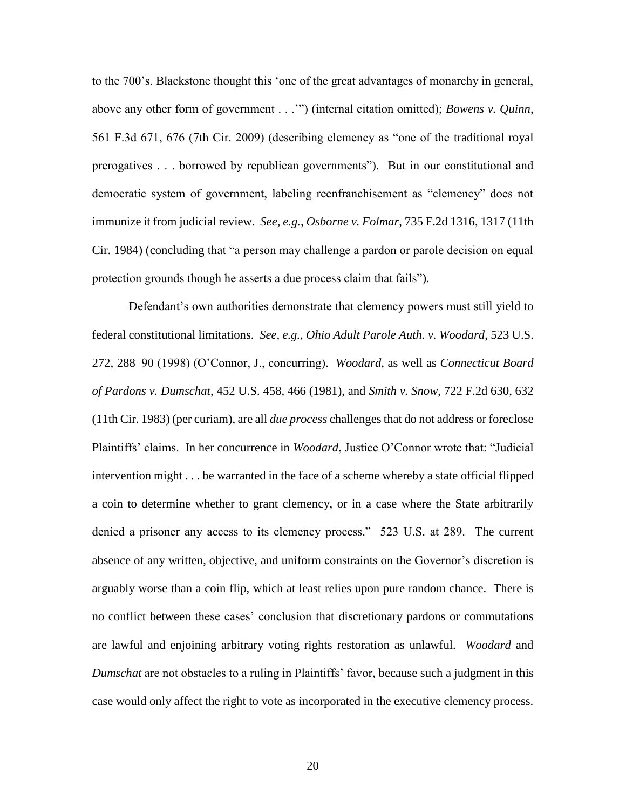to the 700's. Blackstone thought this 'one of the great advantages of monarchy in general, above any other form of government . . .'") (internal citation omitted); *Bowens v. Quinn*, 561 F.3d 671, 676 (7th Cir. 2009) (describing clemency as "one of the traditional royal prerogatives . . . borrowed by republican governments"). But in our constitutional and democratic system of government, labeling reenfranchisement as "clemency" does not immunize it from judicial review. *See, e.g.*, *Osborne v. Folmar*, 735 F.2d 1316, 1317 (11th Cir. 1984) (concluding that "a person may challenge a pardon or parole decision on equal protection grounds though he asserts a due process claim that fails").

Defendant's own authorities demonstrate that clemency powers must still yield to federal constitutional limitations. *See, e.g.*, *Ohio Adult Parole Auth. v. Woodard*, 523 U.S. 272, 288–90 (1998) (O'Connor, J., concurring). *Woodard*, as well as *Connecticut Board of Pardons v. Dumschat*, 452 U.S. 458, 466 (1981), and *Smith v. Snow*, 722 F.2d 630, 632 (11th Cir. 1983) (per curiam), are all *due process* challenges that do not address or foreclose Plaintiffs' claims. In her concurrence in *Woodard*, Justice O'Connor wrote that: "Judicial intervention might . . . be warranted in the face of a scheme whereby a state official flipped a coin to determine whether to grant clemency, or in a case where the State arbitrarily denied a prisoner any access to its clemency process." 523 U.S. at 289. The current absence of any written, objective, and uniform constraints on the Governor's discretion is arguably worse than a coin flip, which at least relies upon pure random chance. There is no conflict between these cases' conclusion that discretionary pardons or commutations are lawful and enjoining arbitrary voting rights restoration as unlawful. *Woodard* and *Dumschat* are not obstacles to a ruling in Plaintiffs' favor, because such a judgment in this case would only affect the right to vote as incorporated in the executive clemency process.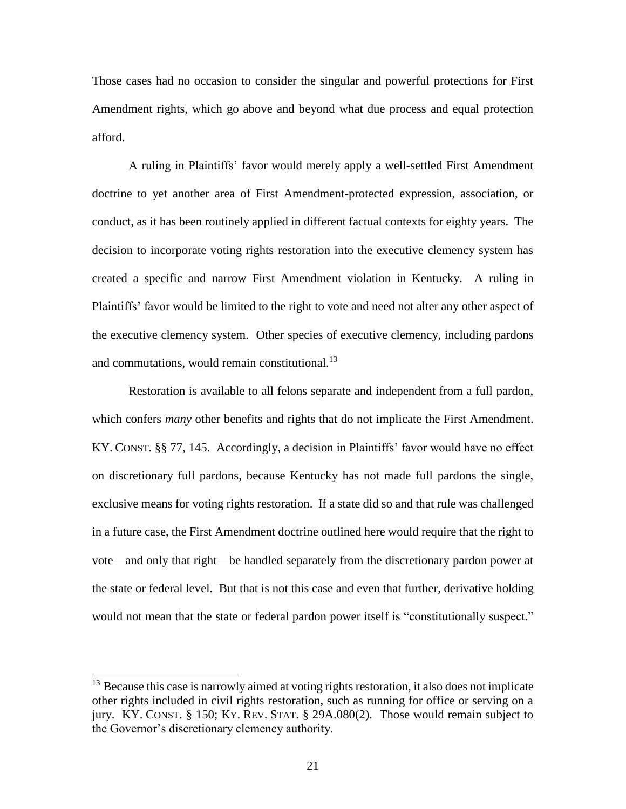Those cases had no occasion to consider the singular and powerful protections for First Amendment rights, which go above and beyond what due process and equal protection afford.

A ruling in Plaintiffs' favor would merely apply a well-settled First Amendment doctrine to yet another area of First Amendment-protected expression, association, or conduct, as it has been routinely applied in different factual contexts for eighty years. The decision to incorporate voting rights restoration into the executive clemency system has created a specific and narrow First Amendment violation in Kentucky. A ruling in Plaintiffs' favor would be limited to the right to vote and need not alter any other aspect of the executive clemency system. Other species of executive clemency, including pardons and commutations, would remain constitutional.<sup>13</sup>

Restoration is available to all felons separate and independent from a full pardon, which confers *many* other benefits and rights that do not implicate the First Amendment. KY. CONST. §§ 77, 145. Accordingly, a decision in Plaintiffs' favor would have no effect on discretionary full pardons, because Kentucky has not made full pardons the single, exclusive means for voting rights restoration. If a state did so and that rule was challenged in a future case, the First Amendment doctrine outlined here would require that the right to vote—and only that right—be handled separately from the discretionary pardon power at the state or federal level. But that is not this case and even that further, derivative holding would not mean that the state or federal pardon power itself is "constitutionally suspect."

<sup>&</sup>lt;sup>13</sup> Because this case is narrowly aimed at voting rights restoration, it also does not implicate other rights included in civil rights restoration, such as running for office or serving on a jury. KY. CONST. § 150; KY. REV. STAT. § 29A.080(2). Those would remain subject to the Governor's discretionary clemency authority.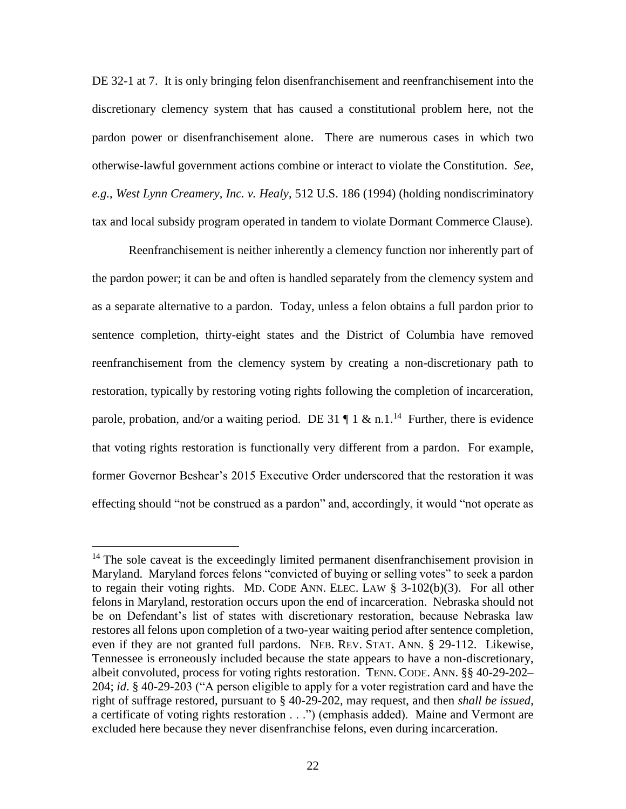DE 32-1 at 7. It is only bringing felon disenfranchisement and reenfranchisement into the discretionary clemency system that has caused a constitutional problem here, not the pardon power or disenfranchisement alone. There are numerous cases in which two otherwise-lawful government actions combine or interact to violate the Constitution. *See, e.g.*, *West Lynn Creamery, Inc. v. Healy*, 512 U.S. 186 (1994) (holding nondiscriminatory tax and local subsidy program operated in tandem to violate Dormant Commerce Clause).

Reenfranchisement is neither inherently a clemency function nor inherently part of the pardon power; it can be and often is handled separately from the clemency system and as a separate alternative to a pardon. Today, unless a felon obtains a full pardon prior to sentence completion, thirty-eight states and the District of Columbia have removed reenfranchisement from the clemency system by creating a non-discretionary path to restoration, typically by restoring voting rights following the completion of incarceration, parole, probation, and/or a waiting period. DE 31  $\P$  1 & n.1.<sup>14</sup> Further, there is evidence that voting rights restoration is functionally very different from a pardon. For example, former Governor Beshear's 2015 Executive Order underscored that the restoration it was effecting should "not be construed as a pardon" and, accordingly, it would "not operate as

l

 $14$  The sole caveat is the exceedingly limited permanent disenfranchisement provision in Maryland. Maryland forces felons "convicted of buying or selling votes" to seek a pardon to regain their voting rights. MD. CODE ANN. ELEC. LAW § 3-102(b)(3). For all other felons in Maryland, restoration occurs upon the end of incarceration. Nebraska should not be on Defendant's list of states with discretionary restoration, because Nebraska law restores all felons upon completion of a two-year waiting period after sentence completion, even if they are not granted full pardons. NEB. REV. STAT. ANN. § 29-112. Likewise, Tennessee is erroneously included because the state appears to have a non-discretionary, albeit convoluted, process for voting rights restoration. TENN. CODE. ANN. §§ 40-29-202– 204; *id*. § 40-29-203 ("A person eligible to apply for a voter registration card and have the right of suffrage restored, pursuant to § 40-29-202, may request, and then *shall be issued*, a certificate of voting rights restoration . . .") (emphasis added). Maine and Vermont are excluded here because they never disenfranchise felons, even during incarceration.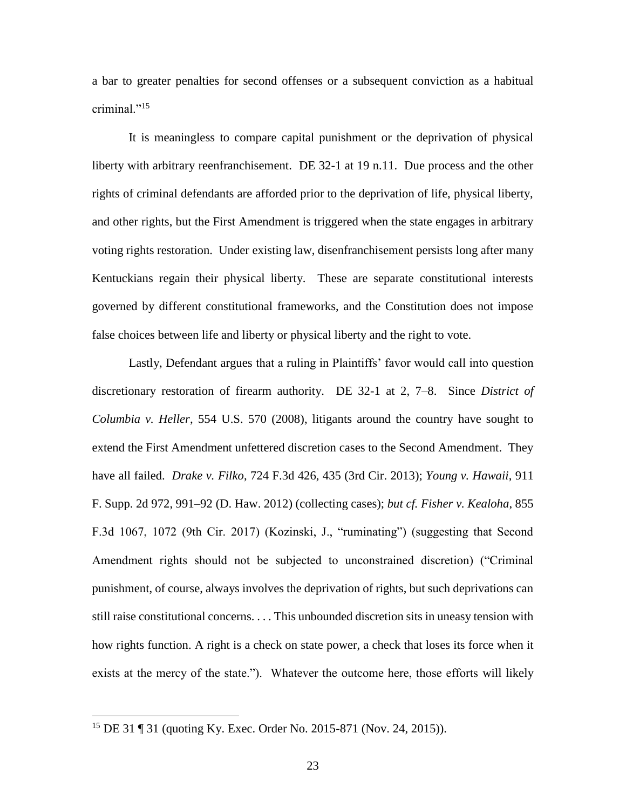a bar to greater penalties for second offenses or a subsequent conviction as a habitual criminal."<sup>15</sup>

It is meaningless to compare capital punishment or the deprivation of physical liberty with arbitrary reenfranchisement. DE 32-1 at 19 n.11. Due process and the other rights of criminal defendants are afforded prior to the deprivation of life, physical liberty, and other rights, but the First Amendment is triggered when the state engages in arbitrary voting rights restoration. Under existing law, disenfranchisement persists long after many Kentuckians regain their physical liberty. These are separate constitutional interests governed by different constitutional frameworks, and the Constitution does not impose false choices between life and liberty or physical liberty and the right to vote.

Lastly, Defendant argues that a ruling in Plaintiffs' favor would call into question discretionary restoration of firearm authority. DE 32-1 at 2, 7–8. Since *District of Columbia v. Heller*, 554 U.S. 570 (2008), litigants around the country have sought to extend the First Amendment unfettered discretion cases to the Second Amendment. They have all failed. *Drake v. Filko*, 724 F.3d 426, 435 (3rd Cir. 2013); *Young v. Hawaii*, 911 F. Supp. 2d 972, 991–92 (D. Haw. 2012) (collecting cases); *but cf. Fisher v. Kealoha*, 855 F.3d 1067, 1072 (9th Cir. 2017) (Kozinski, J., "ruminating") (suggesting that Second Amendment rights should not be subjected to unconstrained discretion) ("Criminal punishment, of course, always involves the deprivation of rights, but such deprivations can still raise constitutional concerns. . . . This unbounded discretion sits in uneasy tension with how rights function. A right is a check on state power, a check that loses its force when it exists at the mercy of the state."). Whatever the outcome here, those efforts will likely

<sup>15</sup> DE 31 ¶ 31 (quoting Ky. Exec. Order No. 2015-871 (Nov. 24, 2015)).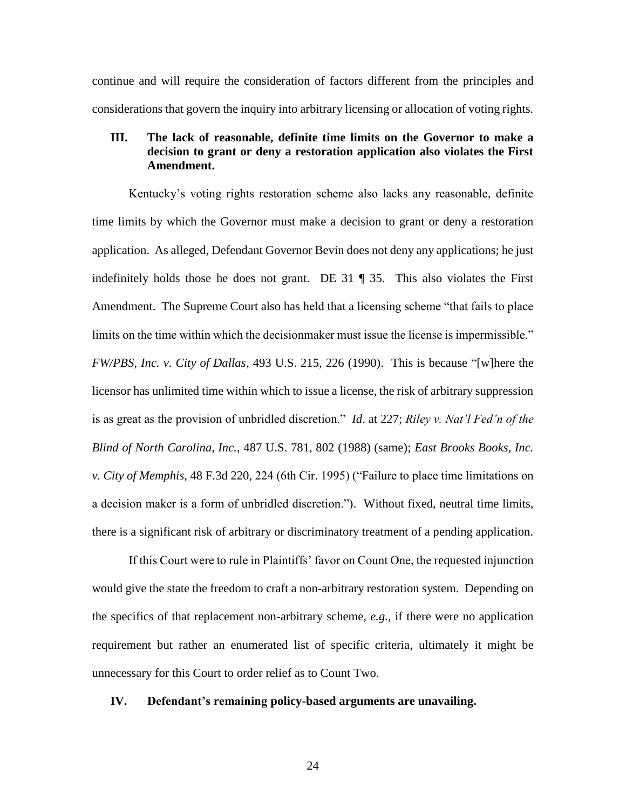continue and will require the consideration of factors different from the principles and considerations that govern the inquiry into arbitrary licensing or allocation of voting rights.

## **III. The lack of reasonable, definite time limits on the Governor to make a decision to grant or deny a restoration application also violates the First Amendment.**

Kentucky's voting rights restoration scheme also lacks any reasonable, definite time limits by which the Governor must make a decision to grant or deny a restoration application. As alleged, Defendant Governor Bevin does not deny any applications; he just indefinitely holds those he does not grant. DE 31 ¶ 35. This also violates the First Amendment. The Supreme Court also has held that a licensing scheme "that fails to place limits on the time within which the decisionmaker must issue the license is impermissible." *FW/PBS, Inc. v. City of Dallas*, 493 U.S. 215, 226 (1990). This is because "[w]here the licensor has unlimited time within which to issue a license, the risk of arbitrary suppression is as great as the provision of unbridled discretion." *Id*. at 227; *Riley v. Nat'l Fed'n of the Blind of North Carolina, Inc.*, 487 U.S. 781, 802 (1988) (same); *East Brooks Books, Inc. v. City of Memphis*, 48 F.3d 220, 224 (6th Cir. 1995) ("Failure to place time limitations on a decision maker is a form of unbridled discretion."). Without fixed, neutral time limits, there is a significant risk of arbitrary or discriminatory treatment of a pending application.

If this Court were to rule in Plaintiffs' favor on Count One, the requested injunction would give the state the freedom to craft a non-arbitrary restoration system. Depending on the specifics of that replacement non-arbitrary scheme, *e.g.*, if there were no application requirement but rather an enumerated list of specific criteria, ultimately it might be unnecessary for this Court to order relief as to Count Two.

#### **IV. Defendant's remaining policy-based arguments are unavailing.**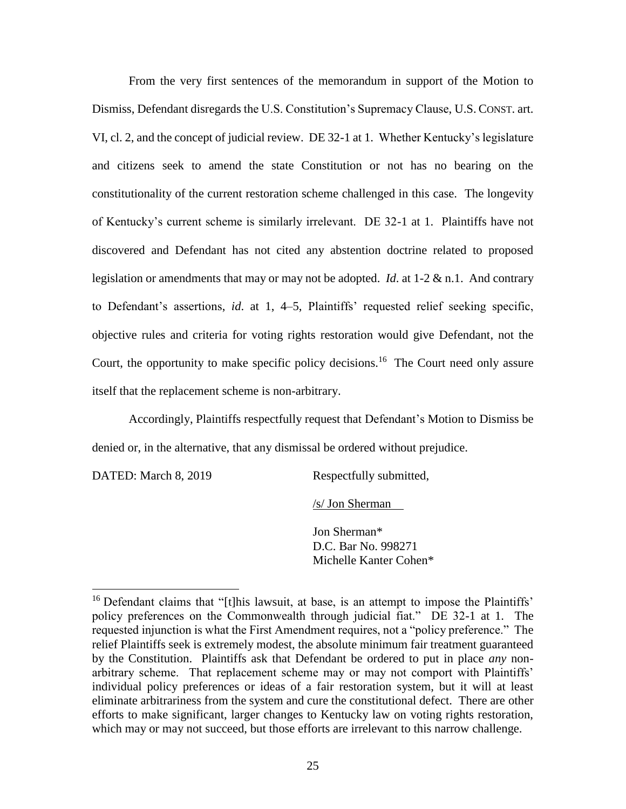From the very first sentences of the memorandum in support of the Motion to Dismiss, Defendant disregards the U.S. Constitution's Supremacy Clause, U.S. CONST. art. VI, cl. 2, and the concept of judicial review. DE 32-1 at 1. Whether Kentucky's legislature and citizens seek to amend the state Constitution or not has no bearing on the constitutionality of the current restoration scheme challenged in this case. The longevity of Kentucky's current scheme is similarly irrelevant. DE 32-1 at 1. Plaintiffs have not discovered and Defendant has not cited any abstention doctrine related to proposed legislation or amendments that may or may not be adopted. *Id*. at 1-2 & n.1. And contrary to Defendant's assertions, *id*. at 1, 4–5, Plaintiffs' requested relief seeking specific, objective rules and criteria for voting rights restoration would give Defendant, not the Court, the opportunity to make specific policy decisions.<sup>16</sup> The Court need only assure itself that the replacement scheme is non-arbitrary.

Accordingly, Plaintiffs respectfully request that Defendant's Motion to Dismiss be denied or, in the alternative, that any dismissal be ordered without prejudice.

DATED: March 8, 2019 Respectfully submitted,

 $\overline{a}$ 

/s/ Jon Sherman

Jon Sherman\* D.C. Bar No. 998271 Michelle Kanter Cohen\*

<sup>&</sup>lt;sup>16</sup> Defendant claims that "[t]his lawsuit, at base, is an attempt to impose the Plaintiffs' policy preferences on the Commonwealth through judicial fiat." DE 32-1 at 1. The requested injunction is what the First Amendment requires, not a "policy preference." The relief Plaintiffs seek is extremely modest, the absolute minimum fair treatment guaranteed by the Constitution. Plaintiffs ask that Defendant be ordered to put in place *any* nonarbitrary scheme. That replacement scheme may or may not comport with Plaintiffs' individual policy preferences or ideas of a fair restoration system, but it will at least eliminate arbitrariness from the system and cure the constitutional defect. There are other efforts to make significant, larger changes to Kentucky law on voting rights restoration, which may or may not succeed, but those efforts are irrelevant to this narrow challenge.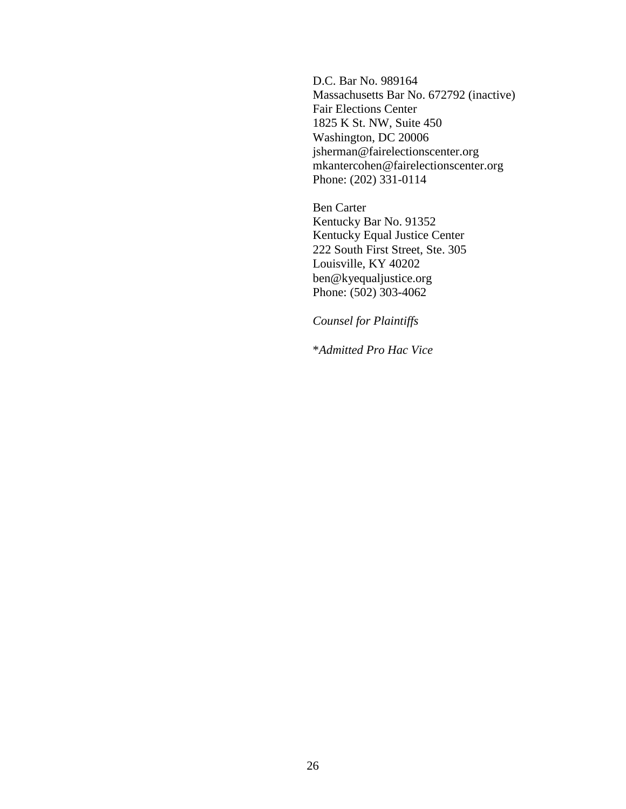D.C. Bar No. 989164 Massachusetts Bar No. 672792 (inactive) Fair Elections Center 1825 K St. NW, Suite 450 Washington, DC 20006 jsherman@fairelectionscenter.org mkantercohen@fairelectionscenter.org Phone: (202) 331-0114

Ben Carter Kentucky Bar No. 91352 Kentucky Equal Justice Center 222 South First Street, Ste. 305 Louisville, KY 40202 ben@kyequaljustice.org Phone: (502) 303-4062

*Counsel for Plaintiffs*

\**Admitted Pro Hac Vice*